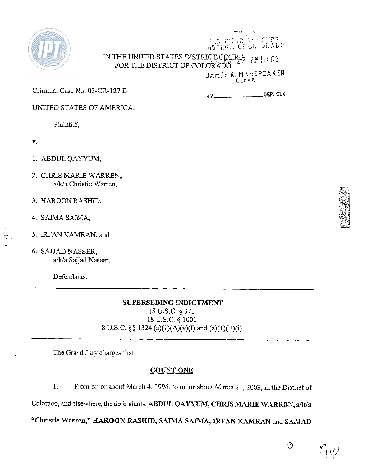

IN THE UNITED STATES DISTRICT<sub>E</sub>COURT-  $\frac{7}{6}$   $\frac{1}{2}$   $\frac{1}{2}$   $\frac{1}{2}$   $\frac{1}{2}$  :  $\frac{63}{2}$ FOR THE DISTRICT OF COLORADO JAHES R. HANSPEAKER

CLERK

 $\mathcal{M}(\mathbb{R}^d)$ 

DISTRIOT OF COLORADO

OHRT

Criminal Case No. 03-CR-127 B

**HY DEP. CLK** 

UNITED STATES OF AMERICA,

Plaintiff,

V.

 $-$  ,  $\alpha$ 

- 1. ABDUL QAYYUM,
- 2. CHRIS MARIE WARREN, a/k/a Christie Warren,
- 3. HAROON RASHID,
- 4. SAIMA **SAIMA,**
- 5. IRFAN KAMRAN, and
- 6. SAJJAD NASSER, a/lc/a Sajjad Naseer,

Defendants.

### **SUPERSEDING INDICTMENT**

18 U.S.C. \$371 18 U.S.C. *5* 1001 8 U.S.C.  $\S\S 1324$  (a)(1)(A)(v)(I) and (a)(1)(B)(i)

The Grand Jury charges that:

### **COUNT ONE**

1. From on or about March 4, 1996, to on or about March 21, 2003, in the District of

Colorado, and elsewhere, the defendants, ABDUL QAYYUM, CHRIS MARIE WARREN, a/k/a

**"Christie Warren," HAROON RASEXID, SMMA SAZMA, IRFAN KAMRAN** and **SAJJAD** 

ි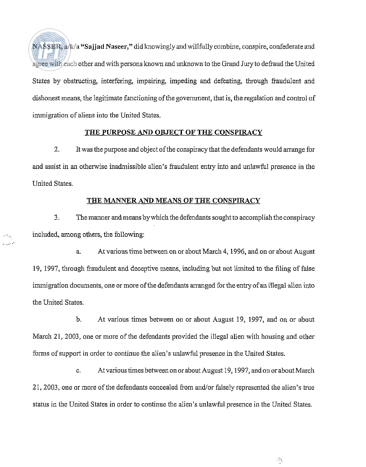$NASSER$ , a/ $k/a$  "Sajjad Naseer," did knowingly and willfully combine, conspire, confederate and agree with each other and with persons known and unknown to the Grand Jury to defraud the United States by obstructing, interfering, impairing, impeding and defeating, through fraudulent and dishonest means, the legitimate functioning of the government, that is, the regulation and control of immigration of aliens into the United States.

#### THE PURPOSE **AND** OBJECT OF THE CONSPIRACY

. It was the purpose and object of the conspiracy that the defendants would arrange for and assist in an otherwise inadmissible alien's fraudulent entry into and unlawful presence in the United States.

### THE MANNER **AND** MEANS OF TRE CONSPIRACY

3. Themanner andmeans bywhich the defendants sought to accomplish the conspiracy included, among others, the following:

-.

a. At various time between on or about March 4,1996, and on or about August 19, 1997, through fraudulent and deceptive means, including but not limited to the filing of false immigration documents, one or more of the defendants arranged for the entry of an illegal alien into the United States.

b. At various times between on or about August 19, 1997, and on or about March 21, 2003, one or more of the defendants provided the illegal alien with housing and other forms of support in order to continue the alien's unlawful presence in the United States.

c. At various times between on or about August 19,1997, and on or about March 21,2003, one or more of the defendants concealed from andfor falsely represented the alien's true status in the United States in order to continue the alien's unlawful presence in the United States.

承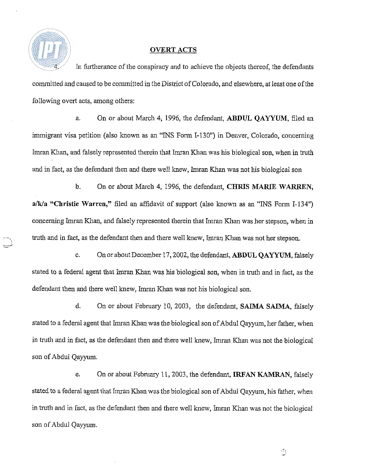

### **OVERT ACTS**

In furtherance of the conspiracy and to achieve the objects thereof, the defendants committed and caused to be committed in the District of Colorado, and elsewhere, at least one of the following overt acts, among others:

a. On or about March 4, 1996, the defendant, **ABDUL QAYYUM,** filed an immigrant visa petition (also known as an "INS Form 1-130") in Denver, Colorado, concerning Imran Khan, and falsely represented therein that Imran Khan was his biological son, when in truth and in fact, as the defendant then and there well knew, lmran Khan was not his biological son

b. On or about March 4, 1996, the defendant, **CHRIS MARIE WARREN**, a/k/a "Christie Warren," filed an affidavit of support (also known as an "INS Form I-134") concerning Imran Khan, and falsely represented therein that Imran Khan was her stepson, when in truth and in fact, as the defendant then and there well knew, Imran Khan was not her stepson.

c. On or about December 17,2002, the defendant, **ABDUL** QAYYUM, falsely stated to a federal agent that Imran Khan was his biological son, when in truth and in fact, as the defendant then and there well knew, Imran Khan was not his biological son.

d. On or about February 10, 2003, the defendant, **SAIMA SAIMA,** falsely stated to a federal agent that Imran Khan was the biological son of Abdul Qayyum, her father, when in truth and in fact, as the defendant then and there well knew, Imran Khan was not the biological son of Abdul Qayyum.

e. On or about February 11, 2003, the defendant, **IRFAN KAMRAN**, falsely stated to a federal agent that Imran Khan was the biological son of Abdul Qayyum, his father, when in truth and in fact, as the defendant then and there well knew, Imran Khan was not the biological son of Abdul Qayyum.

Ø.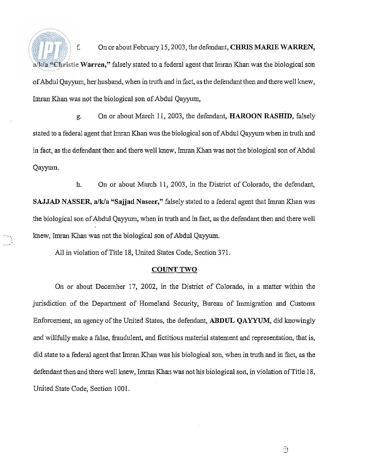f. On or about February 15,2003, the defendant, **CHRIS** MARIE **WARREN, alWa "Christie Warren,"** falsely stated to a federal agent that Imran Khan was the biological son ofAbdul Qayyum, her husband, when in truth and in fact, as the defendant then and there well knew, Imran Khan was not the biological son of Abdul Qayyum,

g. On or about March 11, 2003, the defendant, **HAROON RASHID**, falsely stated to a federal agent that Imran Khan was the biological son of Abdul Qayyum when in truth and in fact, as the defendant then and there well knew, Imran Khan was not the biological son of Abdul Qayyum.

h. On or about March 11, 2003, in the District of Colorado, the defendant, **SAJJAD NASSER, a/k/a "Sajjad Naseer,"** falsely stated to a federal agent that Imran Khan was the biological son of Abdul Qayyum, when in truth and in fact, as the defendant then and there well knew, Imran Khan was not the biological son of Abdul Qayyum.

All in violation of Title 18, United States Code, Section 371

### **COUNT TWO**

On or about December 17, 2002, in the District of Colorado, in a matter within the jurisdiction of the Department of Homeland Security, Bureau of Immigration and Customs Enforcement, an agency of the United States, the defendant, **ABDUL QAYYUM,** did knowingly and willllly make a false, fraudulent, and fictitious material statement and representation, that is, did state to a federal agent that Imran Khan was his biological son, when in truth and in fact, as the defendant then and there well knew, Imran Khan was not his biological son, in violation of Title 18, United State Code, Section 1001.

ි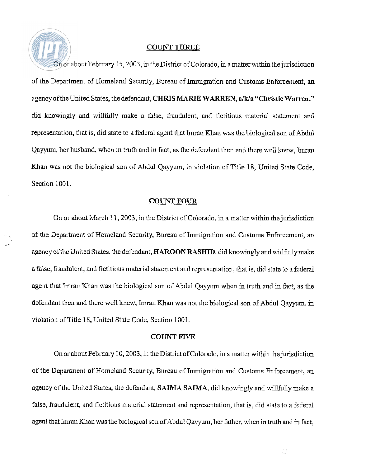### COUNT THREE

On or about February 15,2003, in the District of Colorado, in a matter within the jurisdiction of the Department of Homeland Security, Bureau of Immigration and Customs Enforcement, an agency of the United States, the defendant, CHRIS MARIE WARREN, a/k/a "Christie Warren," did knowingly and willfully make a false, fraudulent, and fictitious material statement and representation, that is, did state to a federal agent that Inran Khan was the biological son of Abdul Qayyum, her husband, when in truth and in fact, as the defendant then and there well knew, Imran Khan was not the biological son of Abdul Qayyum, in violation of Title 18, United State Code, Section 1001.

#### **COUNT FOUR**

On or about March 11,2003, in the District of Colorado, in a matter within the jurisdiction of the Department of Homeland Security, Bureau of Immigration and Customs Enforcement, an agency of the United States, the defendant, HAROON RASHID, did knowingly and willfully make a false, fraudulent, and fictitious material statement and representation, that is, did state to a federal agent that Lmran Khan was the biological son of Abdul Qayyum when in truth and in fact, as the defendant then and there well knew, Imran Khan was not the biological son of Abdul Qayyum, in violation of Title 18, United State Code, Section 1001.

:<br>س

#### COUNT EIVE

On or about February 10, 2003, in the District of Colorado, in a matter within the jurisdiction of the Department of Homeland Security, Bureau of Immigration and Customs Enforcement, an agency of the United States, the defendant, SAIMA SAIMA, did knowingly and willfully make a false, fraudulent, and fictitious material statement and representation, that is, did state to a federal agent that Imran Khan was the biological son of Abdul Qayyum, her father, when in truth and in fact,

Õ,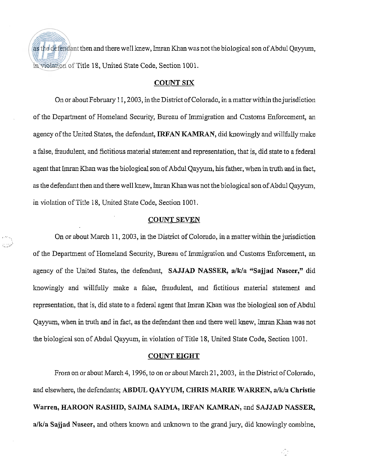as the defendant then and there well knew, Imran Khan was not the biological son of Abdul Qayyum, inviolation of Title 18, United State Code, Section 1001.

### **COUNT SIX**

On or about February 11,2003, in the District of Colorado, in amatter within thejurisdiction of the Department of Homeland Security, Bureau of Immigration and Customs Enforcement, an agency of the United States, the defendant, **IRFAN KAMRAN,** did knowingly and willfully make afalse, fraudulent, and fictitious material statement and representation, that is, did state to a federal agent that Imran Khan was the biological son of Abdul Qayyum, his father, when in truth and in fact, as the defendant then and there well knew, Imran Khan was not the biological son of Abdul Qayyum, in violation of Title 18, United State Code, Section 1001.

#### **COUNT SEVEN**

On or about March 11,2003, in the District of Colorado, in a matter within the jurisdiction of the Department of Homeland Security, Bureau of Immigration and Customs Enforcement, an agency of the United States, the defendant, **SAJJAD NASSER**, a/k/a "Sajjad Naseer," did lmowingly and willfully make a false, fraudulent, and fictitious material statement and representation, that is, did state to a federal agent that Imran Khan was the biological son of Abdul Qayyurn, when in truth and in fact, as the defendant then and there well knew, Imran I(han was not the biological son of Abdul Qayyum, in violation of Title 18, United State Code, Section 1001.

### **COUNT EIGHT**

From on or about March 4, 1996, to on or about March 21, 2003, in the District of Colorado, and elsewhere, the defendants; ABDUL QAYYUM, CHRIS MARIE WARREN, a/k/a Christie Warren, **HAROON RASHID, SAIMA SAIMA, IRFAN WIRAN,** and **SAJJAD NASSER,**  a/k/a Sajjad Naseer, and others known and unknown to the grand jury, did knowingly combine,

 $\frac{1}{2}$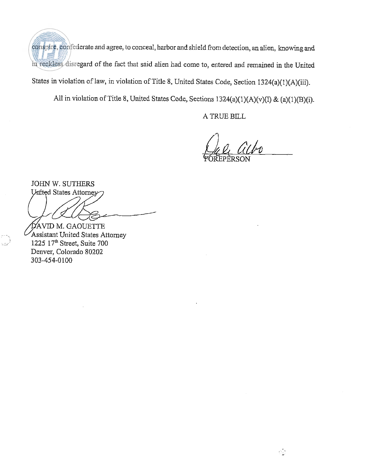conspire, confederate and agree, to conceal, harbor and shield from detection, **an** alien, knowing and in reckless disregard of the fact that said alien had come to, entered and remained in the United States in violation of law, in violation of Title 8, United States Code, Section 1324(a)(1)(A)(iii).

All in violation of Title 8, United States Code, Sections 1324(a)(1)(A)(v)(I) & (a)(1)(B)(i).

A TRUE BILL

49

JOHN W. SUTHERS United States Attorney

.<br>NGC 1

ĎAVID M. GAOUETTE Assistant United States Attorney 1225 17" Street, Suite 700 Denver, Colorado 80202 303-454-0100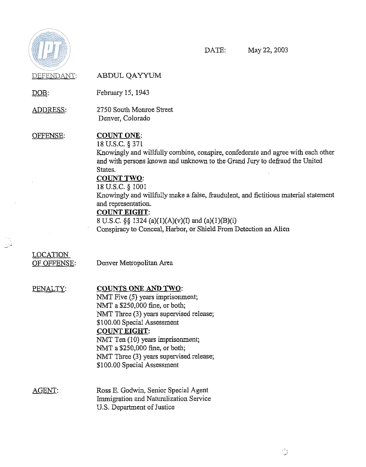

DATE: May 22,2003

DEFENDANT: ABDUL QAYYUM DEFENDANT: ABDUL QAYYU<br>DOB: February 15, 1943 ADDRESS: 2750 South Monroe Street Denver, Colorado OFFENSE: COUNT ONE: 18 U.S.C. *5* 371 Knowingly and willfully combine, conspire, confederate and agree with each other and with persons known and unknown to the Grand Jury to defraud the United States. COUNT TWO: 18 U.S.C. *5* 1001 Knowingly and willfully make a false, fraudulent, and fictitious material statement and representation. **COUNT EIGHT:** 8 U.S.C. *55* 1324 (a)(l)(A)(v)(I) and (a)(l)(B)(i) Conspiracy to Conceal, Harbor, or Shield From Detection an Alien LOCATION OF OFFENSE: Denver Metropolitan Area PENALTY: COUNTS ONE **AND** TWO: NMT Five (5) years imprisonment; NMT a \$250,000 fine, or both; NMT Three (3) years supervised release; \$100.00 Special Assessment COUNT EIGHT: NMT Ten (10) years imprisonment; NMT a \$250,000 fine, or both; NMT Three (3) years supervised release; \$100.00 Special Assessment AGENT: Ross E. Godwin, Senior Special Agent Immigration and Naturalization Service US. Department of Justice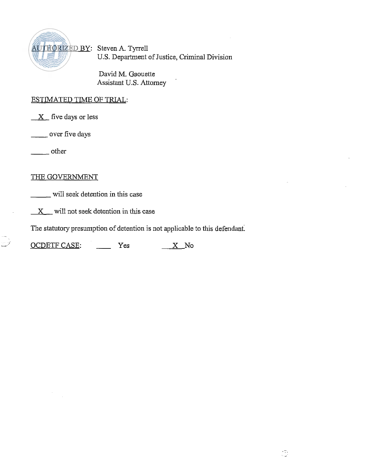

David M. Gaouette Assistant U.S. Attorney

### ESTIMATED TIME OF TRIAL:

 $X$  five days or less ESTIMATED TIME<br>X five days or le<br>wer five days

over five days<br>
other

# THE GOVERNMENT

will seek detention in this case

 $X$  will not seek detention in this case

The statutory presumption of detention is not applicable to this defendant.

X will not seek detention in this case<br>The statutory presumption of detention is not applicable<br>OCDETF CASE: Yes X No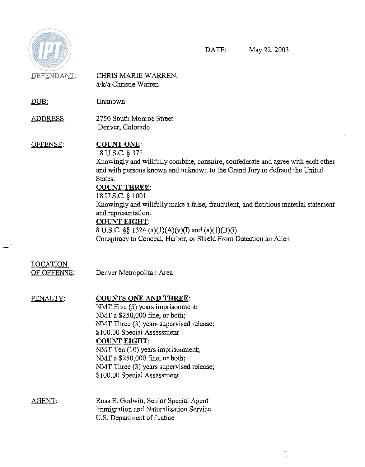

 $\bar{\mathbb{D}}^1$ 

DATE: May 22,2003

 $\frac{1}{2}$ 

 $\ddot{\phantom{1}}$ 

| DEFENDANT:                            | CHRIS MARIE WARREN,<br>a/k/a Christie Warren                                                                                                                                                                                                                                                                                                                                                                                                                                                                               |
|---------------------------------------|----------------------------------------------------------------------------------------------------------------------------------------------------------------------------------------------------------------------------------------------------------------------------------------------------------------------------------------------------------------------------------------------------------------------------------------------------------------------------------------------------------------------------|
| <u>DOB:</u>                           | Unknown                                                                                                                                                                                                                                                                                                                                                                                                                                                                                                                    |
| ADDRESS:                              | 2750 South Monroe Street<br>Denver, Colorado                                                                                                                                                                                                                                                                                                                                                                                                                                                                               |
| <u>OFFENSE:</u>                       | <b>COUNT ONE:</b><br>18 U.S.C. § 371<br>Knowingly and willfully combine, conspire, confederate and agree with each other<br>and with persons known and unknown to the Grand Jury to defraud the United<br>States.<br><b>COUNT THREE:</b><br>18 U.S.C. § 1001<br>Knowingly and willfully make a false, fraudulent, and fictitious material statement<br>and representation.<br><b>COUNT EIGHT:</b><br>8 U.S.C. §§ 1324 (a)(1)(A)(v)(I) and (a)(1)(B)(i)<br>Conspiracy to Conceal, Harbor, or Shield From Detection an Alien |
| <u>LOCATION</u><br><u>OF OFFENSE:</u> | Denver Metropolitan Area                                                                                                                                                                                                                                                                                                                                                                                                                                                                                                   |
| PENALTY:                              | <b>COUNTS ONE AND THREE:</b><br>NMT Five (5) years imprisonment;<br>NMT a \$250,000 fine, or both;<br>NMT Three (3) years supervised release;<br>\$100.00 Special Assessment<br><b>COUNT EIGHT:</b><br>NMT Ten (10) years imprisonment;<br>NMT a \$250,000 fine, or both;<br>NMT Three (3) years supervised release;<br>\$100.00 Special Assessment                                                                                                                                                                        |
| <u>AGENT:</u>                         | Ross E. Godwin, Senior Special Agent<br>Immigration and Naturalization Service<br>U.S. Department of Justice                                                                                                                                                                                                                                                                                                                                                                                                               |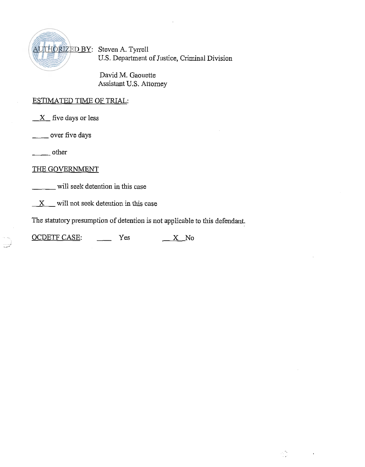

David M. Gaouette Assistant U.S. Attorney

## ESTIMATED **TlME** OF TRIAL:

*X* five days or less ESTIMATED TIME<br>X five days or le<br>----- over five days  $\frac{X}{x}$  five day<br>  $\frac{X}{x}$  five day

-

# THE GOVERNMENT

will seek detention in this case

 $X$  will not seek detention in this case

The statutory presumption of detention is not applicable to this defendant.

المعلمين.<br>الموارد

 $\sim$ 

X will not seek detention in this case<br>The statutory presumption of detention is not applicable<br>OCDETF CASE: Yes <u>X</u> No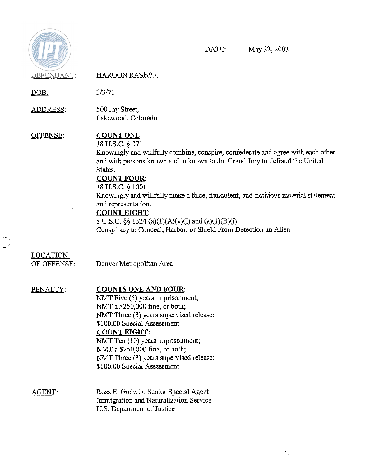

 $\mathbb{R}^2$ 

DATE: May 22,2003

 $\frac{1}{\sqrt{2}}$ 

| C. C. Cherry Strate Meridian<br>DEFENDANT: | HAROON RASHID,                                                                                                                                                                                                                                                                                                                                                                                                                                                                                                            |
|--------------------------------------------|---------------------------------------------------------------------------------------------------------------------------------------------------------------------------------------------------------------------------------------------------------------------------------------------------------------------------------------------------------------------------------------------------------------------------------------------------------------------------------------------------------------------------|
| <u>DOB:</u>                                | 3/3/71                                                                                                                                                                                                                                                                                                                                                                                                                                                                                                                    |
| ADDRESS:                                   | 500 Jay Street,<br>Lakewood, Colorado                                                                                                                                                                                                                                                                                                                                                                                                                                                                                     |
| OFFENSE:                                   | <b>COUNT ONE:</b><br>18 U.S.C. § 371<br>Knowingly and willfully combine, conspire, confederate and agree with each other<br>and with persons known and unknown to the Grand Jury to defraud the United<br>States.<br><b>COUNT FOUR:</b><br>18 U.S.C. § 1001<br>Knowingly and willfully make a false, fraudulent, and fictitious material statement<br>and representation.<br><b>COUNT EIGHT:</b><br>8 U.S.C. §§ 1324 (a)(1)(A)(v)(I) and (a)(1)(B)(i)<br>Conspiracy to Conceal, Harbor, or Shield From Detection an Alien |
| <b>LOCATION</b><br>OF OFFENSE:             | Denver Metropolitan Area                                                                                                                                                                                                                                                                                                                                                                                                                                                                                                  |
| PENALTY:                                   | <b>COUNTS ONE AND FOUR:</b><br>NMT Five (5) years imprisonment;<br>NMT a \$250,000 fine, or both;<br>NMT Three (3) years supervised release;<br>\$100.00 Special Assessment<br><b>COUNT EIGHT:</b><br>NMT Ten (10) years imprisonment;<br>NMT a \$250,000 fine, or both;<br>NMT Three (3) years supervised release;<br>\$100.00 Special Assessment                                                                                                                                                                        |
| <u>AGENT:</u>                              | Ross E. Godwin, Senior Special Agent<br>Immigration and Naturalization Service<br>U.S. Department of Justice                                                                                                                                                                                                                                                                                                                                                                                                              |

 $\mathcal{L}_{\text{max}}$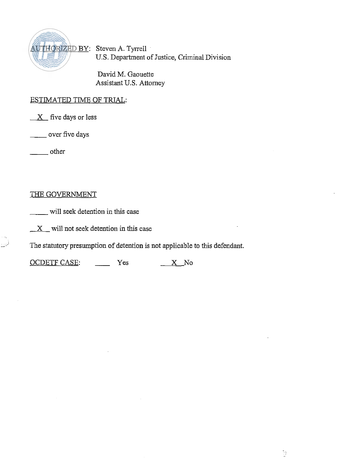

David M. Gaouette Assistant U.S. Attorney

## ESTIMATED TIME OF TRIAL:

X five days or less - other ESTIMATED TIME<br>X five days or le:<br>wer five days

فمتلفظ

# THE GOVERNMENT

will seek detention in this case

 $X$  will not seek detention in this case

The statutory presumption of detention is not applicable to this defendant. X will not seek detention in this case<br>The statutory presumption of detention is not applicable to<br>OCDETF CASE: Yes X No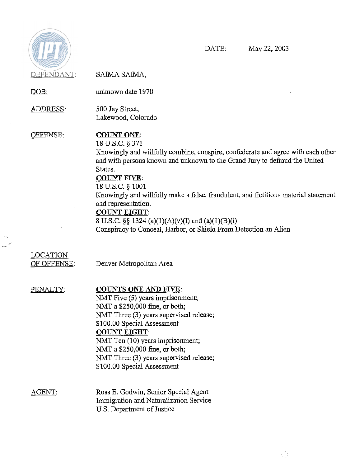

 $\sim$   $\sim$ 

DATE: May 22,2003

 $\sim 100$ 

 $\mathcal{L}_{\omega}^{\pi}$ 

| DEFENDANT:                     | SAIMA SAIMA,                                                                                                                                                                                                                                                                                                                                                                                                                                                                                                              |
|--------------------------------|---------------------------------------------------------------------------------------------------------------------------------------------------------------------------------------------------------------------------------------------------------------------------------------------------------------------------------------------------------------------------------------------------------------------------------------------------------------------------------------------------------------------------|
| <u>DOB:</u>                    | unknown date 1970                                                                                                                                                                                                                                                                                                                                                                                                                                                                                                         |
| <u>ADDRESS:</u>                | 500 Jay Street,<br>Lakewood, Colorado                                                                                                                                                                                                                                                                                                                                                                                                                                                                                     |
| OFFENSE:                       | <b>COUNT ONE:</b><br>18 U.S.C. § 371<br>Knowingly and willfully combine, conspire, confederate and agree with each other<br>and with persons known and unknown to the Grand Jury to defraud the United<br>States.<br><b>COUNT FIVE:</b><br>18 U.S.C. § 1001<br>Knowingly and willfully make a false, fraudulent, and fictitious material statement<br>and representation.<br><b>COUNT EIGHT:</b><br>8 U.S.C. §§ 1324 (a)(1)(A)(v)(I) and (a)(1)(B)(i)<br>Conspiracy to Conceal, Harbor, or Shield From Detection an Alien |
| <b>LOCATION</b><br>OF OFFENSE: | Denver Metropolitan Area                                                                                                                                                                                                                                                                                                                                                                                                                                                                                                  |
| PENALTY:                       | <b>COUNTS ONE AND FIVE:</b><br>NMT Five (5) years imprisonment;<br>NMT a \$250,000 fine, or both;<br>NMT Three (3) years supervised release;<br>\$100.00 Special Assessment<br><b>COUNT EIGHT:</b><br>NMT Ten (10) years imprisonment;<br>NMT a \$250,000 fine, or both;<br>NMT Three (3) years supervised release;<br>\$100.00 Special Assessment                                                                                                                                                                        |
| AGENT:                         | Ross E. Godwin, Senior Special Agent<br>Immigration and Naturalization Service<br>U.S. Department of Justice                                                                                                                                                                                                                                                                                                                                                                                                              |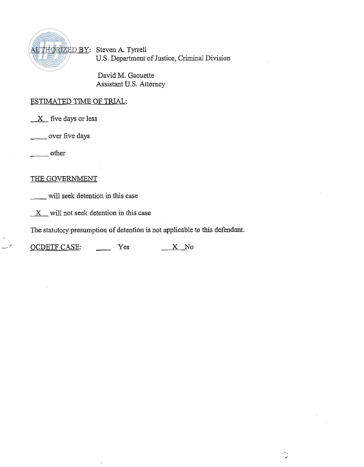

David M. Gaouette Assistant U.S. Attorney

# ESTIMATED TIME OF TRIAL:

five days or less ESTIMATED TIME<br>X five days or le<br>
<u>V</u> over five days ESTIMATED<br>X five day<br>- over fiv<br>- other

### THE GOVERNMENT

will seek detention in this case

*X* will not seek detention in this case

The statutory presumption of detention is not applicable to this defendant.

X will not seek detention in this case<br>The statutory presumption of detention is not applicable<br>OCDETF CASE: Yes X No

 $\ddot{\phantom{0}}$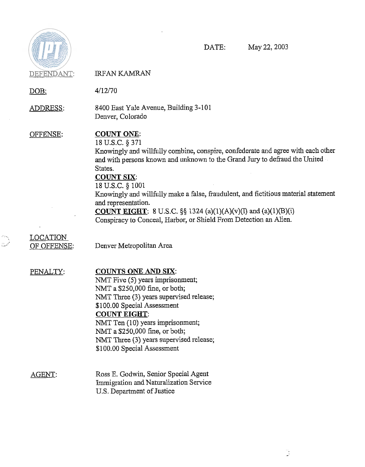

DATE: May 22,2003

| DEFENDANT:                     | <b>IRFAN KAMRAN</b>                                                                                                                                                                                                                                                                                                                                                                                                                                                                                                         |
|--------------------------------|-----------------------------------------------------------------------------------------------------------------------------------------------------------------------------------------------------------------------------------------------------------------------------------------------------------------------------------------------------------------------------------------------------------------------------------------------------------------------------------------------------------------------------|
| DOB:                           | 4/12/70                                                                                                                                                                                                                                                                                                                                                                                                                                                                                                                     |
| ADDRESS:                       | 8400 East Yale Avenue, Building 3-101<br>Denver, Colorado                                                                                                                                                                                                                                                                                                                                                                                                                                                                   |
| OFFENSE:                       | <b>COUNT ONE:</b><br>18 U.S.C. § 371<br>Knowingly and willfully combine, conspire, confederate and agree with each other<br>and with persons known and unknown to the Grand Jury to defraud the United<br>States.<br><b>COUNT SIX:</b><br>18 U.S.C. § 1001<br>Knowingly and willfully make a false, fraudulent, and fictitious material statement<br>and representation.<br><b>COUNT EIGHT</b> : 8 U.S.C. $\S\S$ 1324 (a)(1)(A)(v)(I) and (a)(1)(B)(i)<br>Conspiracy to Conceal, Harbor, or Shield From Detection an Alien. |
| <b>LOCATION</b><br>OF OFFENSE: | Denver Metropolitan Area                                                                                                                                                                                                                                                                                                                                                                                                                                                                                                    |
| PENALTY:                       | <b>COUNTS ONE AND SIX:</b><br>NMT Five (5) years imprisonment;<br>NMT a \$250,000 fine, or both;<br>NMT Three (3) years supervised release;<br>\$100.00 Special Assessment<br><b>COUNT EIGHT:</b><br>NMT Ten (10) years imprisonment;<br>NMT a \$250,000 fine, or both;<br>NMT Three (3) years supervised release;<br>\$100.00 Special Assessment                                                                                                                                                                           |
| <b>AGENT:</b>                  | Ross E. Godwin, Senior Special Agent<br>Immigration and Naturalization Service<br>U.S. Department of Justice                                                                                                                                                                                                                                                                                                                                                                                                                |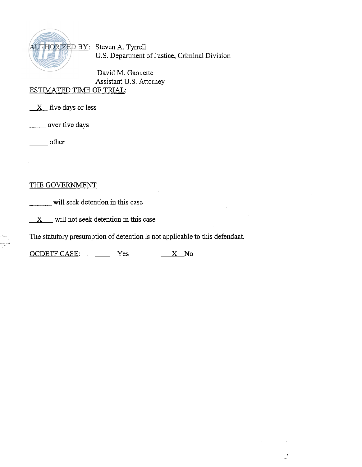

David M. Gaouette Assistant U.S. Attorney ESTIMATED TIME OF TRIAL: - over five days

*X* five days or less  $\frac{X}{Y}$  five day<br> $\frac{X}{Y}$  five day<br> $\frac{Y}{Y}$  over five

i<br>Saad t

## THE GOVERNMENT

will seek detention in this case

 $X$  will not seek detention in this case

The statutory presumption of detention is not applicable to this defendant.

∑t.

OCDETF CASE: . \_\_\_\_\_ Yes \_\_\_\_\_ X No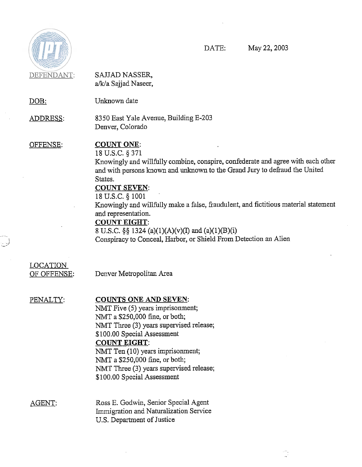

 $\bar{z}$ 

.<br>جي

 $\ddot{\phantom{a}}$ 

DATE: May 22,2003

 $\frac{\partial \mathcal{H}_1}{\partial \mathbf{x}^2}$ 

| DEFENDANT:                     | SAJJAD NASSER,<br>a/k/a Sajjad Naseer,                                                                                                                                                                                                                                                                                                                                                                                                                                                                                     |
|--------------------------------|----------------------------------------------------------------------------------------------------------------------------------------------------------------------------------------------------------------------------------------------------------------------------------------------------------------------------------------------------------------------------------------------------------------------------------------------------------------------------------------------------------------------------|
| $DOB$ :                        | Unknown date                                                                                                                                                                                                                                                                                                                                                                                                                                                                                                               |
| ADDRESS:                       | 8350 East Yale Avenue, Building E-203<br>Denver, Colorado                                                                                                                                                                                                                                                                                                                                                                                                                                                                  |
| OFFENSE:                       | <b>COUNT ONE:</b><br>18 U.S.C. § 371<br>Knowingly and willfully combine, conspire, confederate and agree with each other<br>and with persons known and unknown to the Grand Jury to defraud the United<br>States.<br><b>COUNT SEVEN:</b><br>18 U.S.C. § 1001<br>Knowingly and willfully make a false, fraudulent, and fictitious material statement<br>and representation.<br><b>COUNT EIGHT:</b><br>8 U.S.C. §§ 1324 (a)(1)(A)(v)(I) and (a)(1)(B)(i)<br>Conspiracy to Conceal, Harbor, or Shield From Detection an Alien |
| <b>LOCATION</b><br>OF OFFENSE: | Denver Metropolitan Area                                                                                                                                                                                                                                                                                                                                                                                                                                                                                                   |
| PENALTY:                       | <b>COUNTS ONE AND SEVEN:</b><br>NMT Five (5) years imprisonment;<br>NMT a \$250,000 fine, or both;<br>NMT Three (3) years supervised release;<br>\$100.00 Special Assessment<br><b>COUNT EIGHT:</b><br>NMT Ten (10) years imprisonment;<br>NMT a \$250,000 fine, or both;<br>NMT Three (3) years supervised release;<br>\$100.00 Special Assessment                                                                                                                                                                        |
| AGENT.                         | Ross E. Godwin, Senior Special Agent<br>Immigration and Naturalization Service<br>U.S. Department of Justice                                                                                                                                                                                                                                                                                                                                                                                                               |